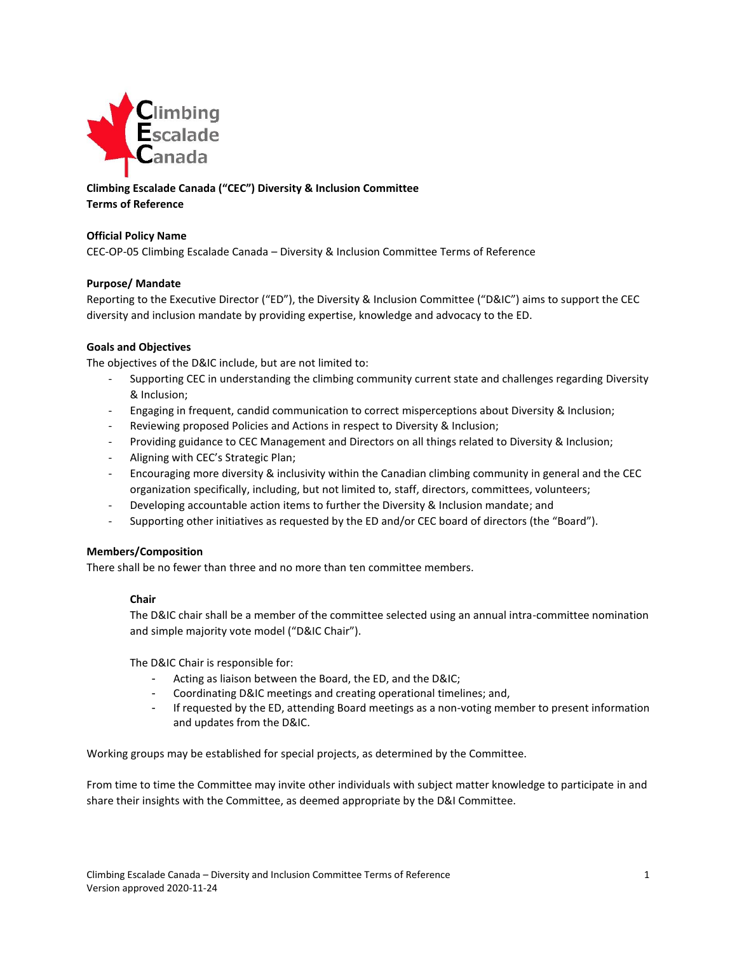

# **Climbing Escalade Canada ("CEC") Diversity & Inclusion Committee Terms of Reference**

## **Official Policy Name**

CEC-OP-05 Climbing Escalade Canada – Diversity & Inclusion Committee Terms of Reference

### **Purpose/ Mandate**

Reporting to the Executive Director ("ED"), the Diversity & Inclusion Committee ("D&IC") aims to support the CEC diversity and inclusion mandate by providing expertise, knowledge and advocacy to the ED.

#### **Goals and Objectives**

The objectives of the D&IC include, but are not limited to:

- Supporting CEC in understanding the climbing community current state and challenges regarding Diversity & Inclusion;
- Engaging in frequent, candid communication to correct misperceptions about Diversity & Inclusion;
- Reviewing proposed Policies and Actions in respect to Diversity & Inclusion;
- Providing guidance to CEC Management and Directors on all things related to Diversity & Inclusion;
- Aligning with CEC's Strategic Plan;
- Encouraging more diversity & inclusivity within the Canadian climbing community in general and the CEC organization specifically, including, but not limited to, staff, directors, committees, volunteers;
- Developing accountable action items to further the Diversity & Inclusion mandate; and
- Supporting other initiatives as requested by the ED and/or CEC board of directors (the "Board").

#### **Members/Composition**

There shall be no fewer than three and no more than ten committee members.

#### **Chair**

The D&IC chair shall be a member of the committee selected using an annual intra-committee nomination and simple majority vote model ("D&IC Chair").

The D&IC Chair is responsible for:

- Acting as liaison between the Board, the ED, and the D⁣
- Coordinating D&IC meetings and creating operational timelines; and,
- If requested by the ED, attending Board meetings as a non-voting member to present information and updates from the D&IC.

Working groups may be established for special projects, as determined by the Committee.

From time to time the Committee may invite other individuals with subject matter knowledge to participate in and share their insights with the Committee, as deemed appropriate by the D&I Committee.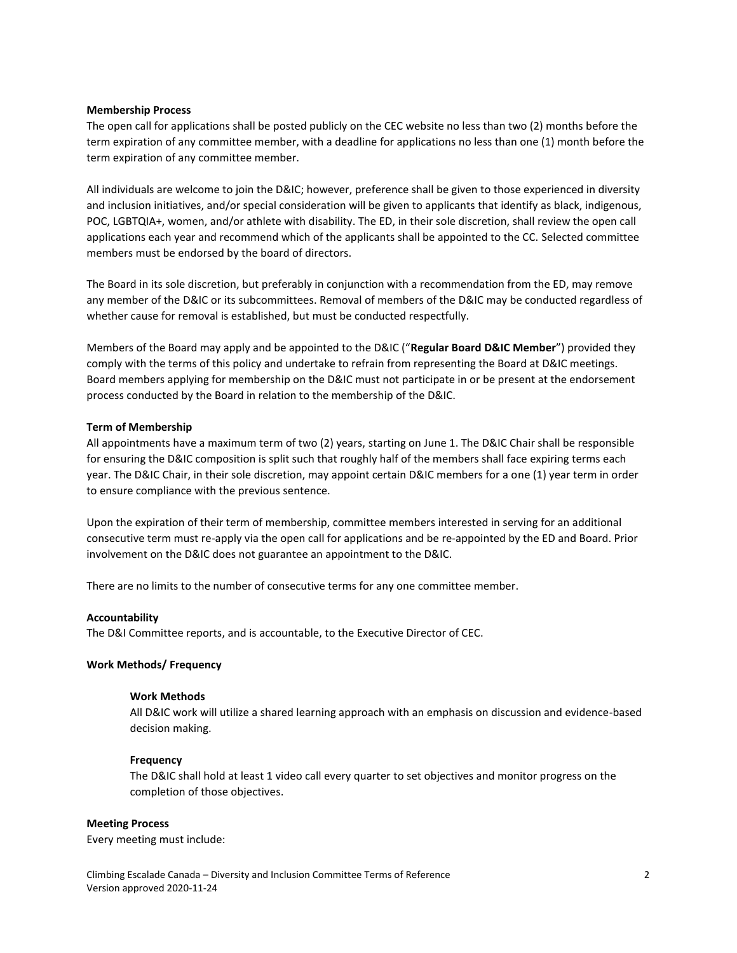#### **Membership Process**

The open call for applications shall be posted publicly on the CEC website no less than two (2) months before the term expiration of any committee member, with a deadline for applications no less than one (1) month before the term expiration of any committee member.

All individuals are welcome to join the D⁣ however, preference shall be given to those experienced in diversity and inclusion initiatives, and/or special consideration will be given to applicants that identify as black, indigenous, POC, LGBTQIA+, women, and/or athlete with disability. The ED, in their sole discretion, shall review the open call applications each year and recommend which of the applicants shall be appointed to the CC. Selected committee members must be endorsed by the board of directors.

The Board in its sole discretion, but preferably in conjunction with a recommendation from the ED, may remove any member of the D&IC or its subcommittees. Removal of members of the D&IC may be conducted regardless of whether cause for removal is established, but must be conducted respectfully.

Members of the Board may apply and be appointed to the D&IC ("**Regular Board D&IC Member**") provided they comply with the terms of this policy and undertake to refrain from representing the Board at D&IC meetings. Board members applying for membership on the D&IC must not participate in or be present at the endorsement process conducted by the Board in relation to the membership of the D&IC.

### **Term of Membership**

All appointments have a maximum term of two (2) years, starting on June 1. The D&IC Chair shall be responsible for ensuring the D&IC composition is split such that roughly half of the members shall face expiring terms each year. The D&IC Chair, in their sole discretion, may appoint certain D&IC members for a one (1) year term in order to ensure compliance with the previous sentence.

Upon the expiration of their term of membership, committee members interested in serving for an additional consecutive term must re-apply via the open call for applications and be re-appointed by the ED and Board. Prior involvement on the D&IC does not guarantee an appointment to the D&IC.

There are no limits to the number of consecutive terms for any one committee member.

#### **Accountability**

The D&I Committee reports, and is accountable, to the Executive Director of CEC.

#### **Work Methods/ Frequency**

#### **Work Methods**

All D&IC work will utilize a shared learning approach with an emphasis on discussion and evidence-based decision making.

#### **Frequency**

The D&IC shall hold at least 1 video call every quarter to set objectives and monitor progress on the completion of those objectives.

#### **Meeting Process**

Every meeting must include:

Climbing Escalade Canada – Diversity and Inclusion Committee Terms of Reference 2 Version approved 2020-11-24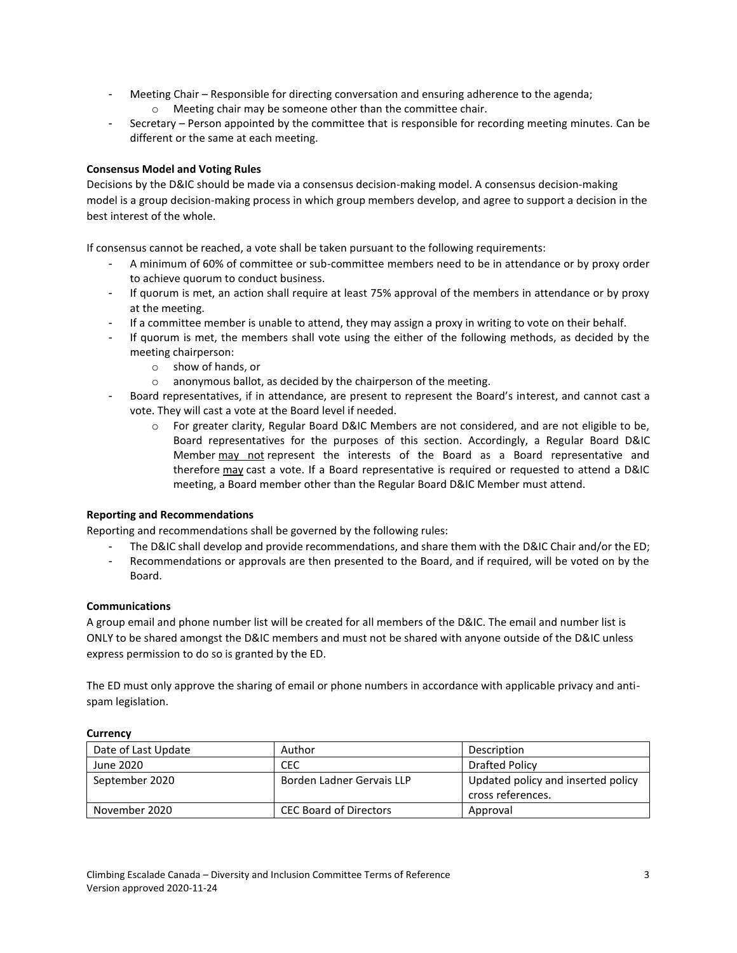- Meeting Chair Responsible for directing conversation and ensuring adherence to the agenda;
	- o Meeting chair may be someone other than the committee chair.
- Secretary Person appointed by the committee that is responsible for recording meeting minutes. Can be different or the same at each meeting.

# **Consensus Model and Voting Rules**

Decisions by the D&IC should be made via a consensus decision-making model. A consensus decision-making model is a group decision-making process in which group members develop, and agree to support a decision in the best interest of the whole.

If consensus cannot be reached, a vote shall be taken pursuant to the following requirements:

- A minimum of 60% of committee or sub-committee members need to be in attendance or by proxy order to achieve quorum to conduct business.
- If quorum is met, an action shall require at least 75% approval of the members in attendance or by proxy at the meeting.
- If a committee member is unable to attend, they may assign a proxy in writing to vote on their behalf.
- If quorum is met, the members shall vote using the either of the following methods, as decided by the meeting chairperson:
	- o show of hands, or
	- o anonymous ballot, as decided by the chairperson of the meeting.
- Board representatives, if in attendance, are present to represent the Board's interest, and cannot cast a vote. They will cast a vote at the Board level if needed.
	- o For greater clarity, Regular Board D&IC Members are not considered, and are not eligible to be, Board representatives for the purposes of this section. Accordingly, a Regular Board D&IC Member may not represent the interests of the Board as a Board representative and therefore may cast a vote. If a Board representative is required or requested to attend a D&IC meeting, a Board member other than the Regular Board D&IC Member must attend.

## **Reporting and Recommendations**

Reporting and recommendations shall be governed by the following rules:

- The D&IC shall develop and provide recommendations, and share them with the D&IC Chair and/or the ED;
- Recommendations or approvals are then presented to the Board, and if required, will be voted on by the Board.

## **Communications**

A group email and phone number list will be created for all members of the D&IC. The email and number list is ONLY to be shared amongst the D&IC members and must not be shared with anyone outside of the D&IC unless express permission to do so is granted by the ED.

The ED must only approve the sharing of email or phone numbers in accordance with applicable privacy and antispam legislation.

## **Currency**

| Date of Last Update | Author                        | Description                                             |
|---------------------|-------------------------------|---------------------------------------------------------|
| June 2020           | CEC                           | <b>Drafted Policy</b>                                   |
| September 2020      | Borden Ladner Gervais LLP     | Updated policy and inserted policy<br>cross references. |
| November 2020       | <b>CEC Board of Directors</b> | Approval                                                |